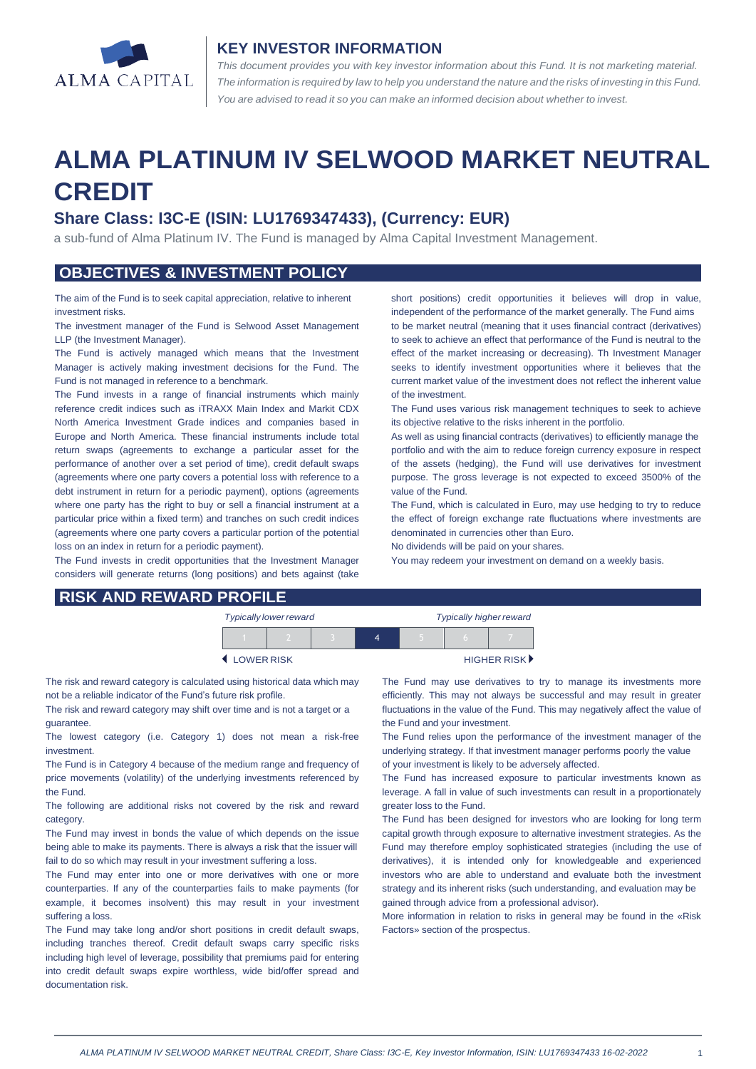

#### **KEY INVESTOR INFORMATION**

*This document provides you with key investor information about this Fund. It is not marketing material.*  The information is required by law to help you understand the nature and the risks of investing in this Fund. *You are advised to read it so you can make an informed decision about whether to invest.*

# **ALMA PLATINUM IV SELWOOD MARKET NEUTRAL CREDIT**

## **Share Class: I3C-E (ISIN: LU1769347433), (Currency: EUR)**

a sub-fund of Alma Platinum IV. The Fund is managed by Alma Capital Investment Management.

### **OBJECTIVES & INVESTMENT POLICY**

The aim of the Fund is to seek capital appreciation, relative to inherent investment risks.

The investment manager of the Fund is Selwood Asset Management LLP (the Investment Manager).

The Fund is actively managed which means that the Investment Manager is actively making investment decisions for the Fund. The Fund is not managed in reference to a benchmark.

The Fund invests in a range of financial instruments which mainly reference credit indices such as iTRAXX Main Index and Markit CDX North America Investment Grade indices and companies based in Europe and North America. These financial instruments include total return swaps (agreements to exchange a particular asset for the performance of another over a set period of time), credit default swaps (agreements where one party covers a potential loss with reference to a debt instrument in return for a periodic payment), options (agreements where one party has the right to buy or sell a financial instrument at a particular price within a fixed term) and tranches on such credit indices (agreements where one party covers a particular portion of the potential loss on an index in return for a periodic payment).

The Fund invests in credit opportunities that the Investment Manager considers will generate returns (long positions) and bets against (take short positions) credit opportunities it believes will drop in value, independent of the performance of the market generally. The Fund aims to be market neutral (meaning that it uses financial contract (derivatives) to seek to achieve an effect that performance of the Fund is neutral to the effect of the market increasing or decreasing). Th Investment Manager seeks to identify investment opportunities where it believes that the current market value of the investment does not reflect the inherent value of the investment.

The Fund uses various risk management techniques to seek to achieve its objective relative to the risks inherent in the portfolio.

As well as using financial contracts (derivatives) to efficiently manage the portfolio and with the aim to reduce foreign currency exposure in respect of the assets (hedging), the Fund will use derivatives for investment purpose. The gross leverage is not expected to exceed 3500% of the value of the Fund.

The Fund, which is calculated in Euro, may use hedging to try to reduce the effect of foreign exchange rate fluctuations where investments are denominated in currencies other than Euro.

No dividends will be paid on your shares.

You may redeem your investment on demand on a weekly basis.

| <b>RISK AND REWARD PROFILE</b> |  |
|--------------------------------|--|
|                                |  |

| <b>Typically lower reward</b> |  |  | <b>Typically higher reward</b> |  |                             |  |
|-------------------------------|--|--|--------------------------------|--|-----------------------------|--|
|                               |  |  | Δ                              |  |                             |  |
| LOWER RISK                    |  |  |                                |  | HIGHER RISK <sup>&gt;</sup> |  |

The risk and reward category is calculated using historical data which may not be a reliable indicator of the Fund's future risk profile.

The risk and reward category may shift over time and is not a target or a guarantee.

The lowest category (i.e. Category 1) does not mean a risk-free investment.

The Fund is in Category 4 because of the medium range and frequency of price movements (volatility) of the underlying investments referenced by the Fund.

The following are additional risks not covered by the risk and reward category.

The Fund may invest in bonds the value of which depends on the issue being able to make its payments. There is always a risk that the issuer will fail to do so which may result in your investment suffering a loss.

The Fund may enter into one or more derivatives with one or more counterparties. If any of the counterparties fails to make payments (for example, it becomes insolvent) this may result in your investment suffering a loss.

The Fund may take long and/or short positions in credit default swaps, including tranches thereof. Credit default swaps carry specific risks including high level of leverage, possibility that premiums paid for entering into credit default swaps expire worthless, wide bid/offer spread and documentation risk.

The Fund may use derivatives to try to manage its investments more efficiently. This may not always be successful and may result in greater fluctuations in the value of the Fund. This may negatively affect the value of the Fund and your investment.

The Fund relies upon the performance of the investment manager of the underlying strategy. If that investment manager performs poorly the value of your investment is likely to be adversely affected.

The Fund has increased exposure to particular investments known as leverage. A fall in value of such investments can result in a proportionately greater loss to the Fund.

The Fund has been designed for investors who are looking for long term capital growth through exposure to alternative investment strategies. As the Fund may therefore employ sophisticated strategies (including the use of derivatives), it is intended only for knowledgeable and experienced investors who are able to understand and evaluate both the investment strategy and its inherent risks (such understanding, and evaluation may be gained through advice from a professional advisor).

More information in relation to risks in general may be found in the «Risk Factors» section of the prospectus.